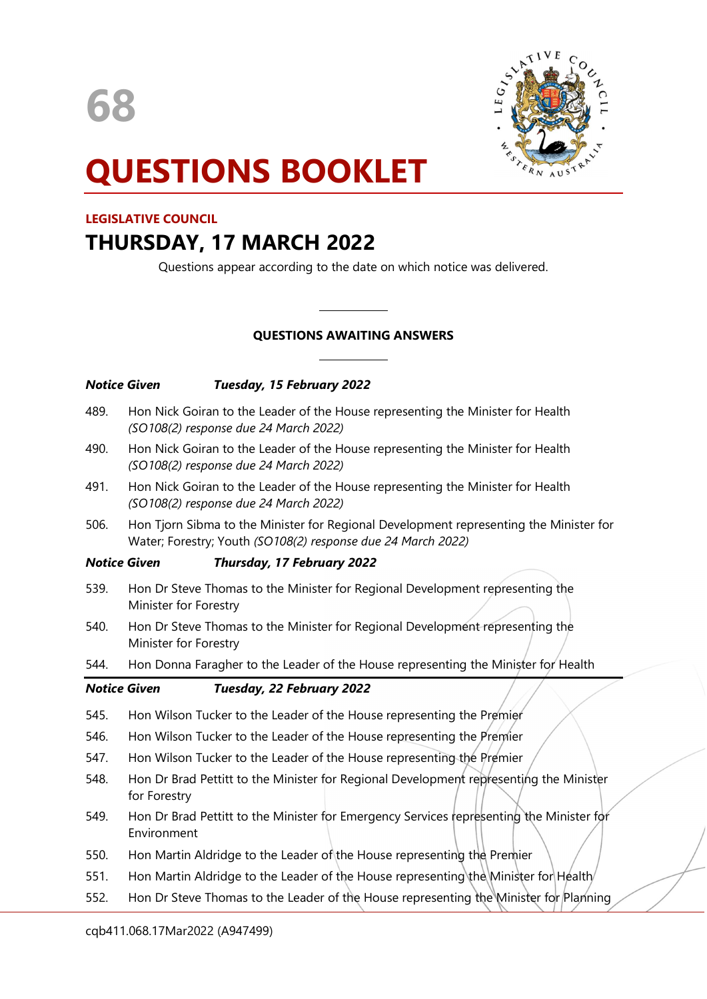



# QUESTIONS BOOKLET

## LEGISLATIVE COUNCIL

# THURSDAY, 17 MARCH 2022

Questions appear according to the date on which notice was delivered.

# QUESTIONS AWAITING ANSWERS

 $\overline{a}$ 

 $\overline{a}$ 

| 489.<br>Hon Nick Goiran to the Leader of the House representing the Minister for Health<br>(SO108(2) response due 24 March 2022)<br>Hon Nick Goiran to the Leader of the House representing the Minister for Health<br>490.<br>(SO108(2) response due 24 March 2022)<br>Hon Nick Goiran to the Leader of the House representing the Minister for Health<br>491.<br>(SO108(2) response due 24 March 2022)<br>Hon Tjorn Sibma to the Minister for Regional Development representing the Minister for<br>506.<br>Water; Forestry; Youth (SO108(2) response due 24 March 2022)<br><b>Notice Given</b><br>Thursday, 17 February 2022<br>539.<br>Hon Dr Steve Thomas to the Minister for Regional Development representing the<br>Minister for Forestry<br>Hon Dr Steve Thomas to the Minister for Regional Development representing the<br>540.<br>Minister for Forestry<br>Hon Donna Faragher to the Leader of the House representing the Minister for Health<br>544. |
|-------------------------------------------------------------------------------------------------------------------------------------------------------------------------------------------------------------------------------------------------------------------------------------------------------------------------------------------------------------------------------------------------------------------------------------------------------------------------------------------------------------------------------------------------------------------------------------------------------------------------------------------------------------------------------------------------------------------------------------------------------------------------------------------------------------------------------------------------------------------------------------------------------------------------------------------------------------------|
|                                                                                                                                                                                                                                                                                                                                                                                                                                                                                                                                                                                                                                                                                                                                                                                                                                                                                                                                                                   |
|                                                                                                                                                                                                                                                                                                                                                                                                                                                                                                                                                                                                                                                                                                                                                                                                                                                                                                                                                                   |
|                                                                                                                                                                                                                                                                                                                                                                                                                                                                                                                                                                                                                                                                                                                                                                                                                                                                                                                                                                   |
|                                                                                                                                                                                                                                                                                                                                                                                                                                                                                                                                                                                                                                                                                                                                                                                                                                                                                                                                                                   |
|                                                                                                                                                                                                                                                                                                                                                                                                                                                                                                                                                                                                                                                                                                                                                                                                                                                                                                                                                                   |
|                                                                                                                                                                                                                                                                                                                                                                                                                                                                                                                                                                                                                                                                                                                                                                                                                                                                                                                                                                   |
|                                                                                                                                                                                                                                                                                                                                                                                                                                                                                                                                                                                                                                                                                                                                                                                                                                                                                                                                                                   |
|                                                                                                                                                                                                                                                                                                                                                                                                                                                                                                                                                                                                                                                                                                                                                                                                                                                                                                                                                                   |
| <b>Notice Given</b><br>Tuesday, 22 February 2022                                                                                                                                                                                                                                                                                                                                                                                                                                                                                                                                                                                                                                                                                                                                                                                                                                                                                                                  |
| 545.<br>Hon Wilson Tucker to the Leader of the House representing the Premier                                                                                                                                                                                                                                                                                                                                                                                                                                                                                                                                                                                                                                                                                                                                                                                                                                                                                     |
| Hon Wilson Tucker to the Leader of the House representing the Premier<br>546.                                                                                                                                                                                                                                                                                                                                                                                                                                                                                                                                                                                                                                                                                                                                                                                                                                                                                     |
| 547.<br>Hon Wilson Tucker to the Leader of the House representing the Premier                                                                                                                                                                                                                                                                                                                                                                                                                                                                                                                                                                                                                                                                                                                                                                                                                                                                                     |
| Hon Dr Brad Pettitt to the Minister for Regional Development representing the Minister<br>548.<br>for Forestry                                                                                                                                                                                                                                                                                                                                                                                                                                                                                                                                                                                                                                                                                                                                                                                                                                                    |
| Hon Dr Brad Pettitt to the Minister for Emergency Services representing the Minister for<br>549.<br>Environment                                                                                                                                                                                                                                                                                                                                                                                                                                                                                                                                                                                                                                                                                                                                                                                                                                                   |
| Hon Martin Aldridge to the Leader of the House representing the Premier<br>550.                                                                                                                                                                                                                                                                                                                                                                                                                                                                                                                                                                                                                                                                                                                                                                                                                                                                                   |
|                                                                                                                                                                                                                                                                                                                                                                                                                                                                                                                                                                                                                                                                                                                                                                                                                                                                                                                                                                   |
| Hon Martin Aldridge to the Leader of the House representing the Minister for $H$ ealth<br>551.                                                                                                                                                                                                                                                                                                                                                                                                                                                                                                                                                                                                                                                                                                                                                                                                                                                                    |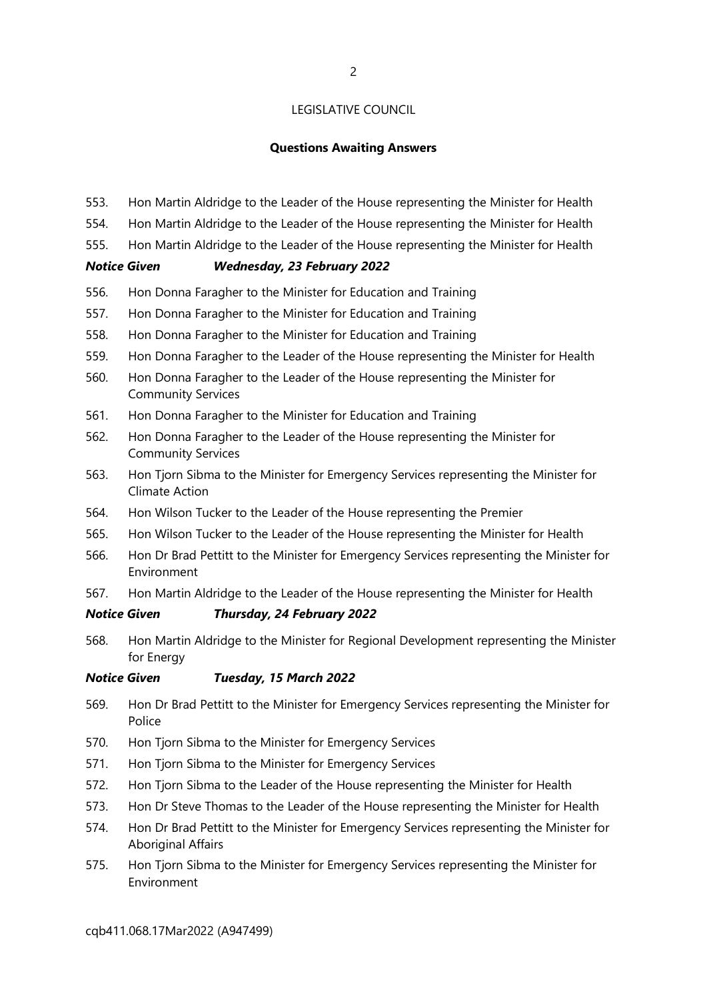#### Questions Awaiting Answers

- 553. Hon Martin Aldridge to the Leader of the House representing the Minister for Health
- 554. Hon Martin Aldridge to the Leader of the House representing the Minister for Health
- 555. Hon Martin Aldridge to the Leader of the House representing the Minister for Health

#### Notice Given Wednesday, 23 February 2022

- 556. Hon Donna Faragher to the Minister for Education and Training
- 557. Hon Donna Faragher to the Minister for Education and Training
- 558. Hon Donna Faragher to the Minister for Education and Training
- 559. Hon Donna Faragher to the Leader of the House representing the Minister for Health
- 560. Hon Donna Faragher to the Leader of the House representing the Minister for Community Services
- 561. Hon Donna Faragher to the Minister for Education and Training
- 562. Hon Donna Faragher to the Leader of the House representing the Minister for Community Services
- 563. Hon Tjorn Sibma to the Minister for Emergency Services representing the Minister for Climate Action
- 564. Hon Wilson Tucker to the Leader of the House representing the Premier
- 565. Hon Wilson Tucker to the Leader of the House representing the Minister for Health
- 566. Hon Dr Brad Pettitt to the Minister for Emergency Services representing the Minister for Environment
- 567. Hon Martin Aldridge to the Leader of the House representing the Minister for Health

#### Notice Given Thursday, 24 February 2022

568. Hon Martin Aldridge to the Minister for Regional Development representing the Minister for Energy

#### Notice Given Tuesday, 15 March 2022

- 569. Hon Dr Brad Pettitt to the Minister for Emergency Services representing the Minister for Police
- 570. Hon Tjorn Sibma to the Minister for Emergency Services
- 571. Hon Tjorn Sibma to the Minister for Emergency Services
- 572. Hon Tjorn Sibma to the Leader of the House representing the Minister for Health
- 573. Hon Dr Steve Thomas to the Leader of the House representing the Minister for Health
- 574. Hon Dr Brad Pettitt to the Minister for Emergency Services representing the Minister for Aboriginal Affairs
- 575. Hon Tjorn Sibma to the Minister for Emergency Services representing the Minister for Environment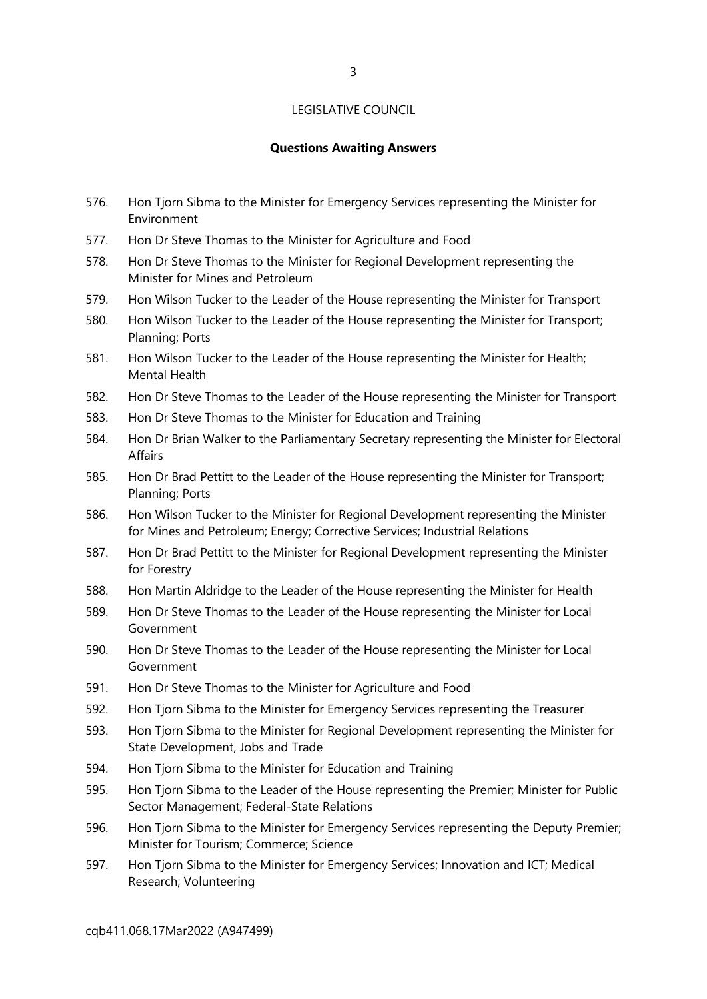#### Questions Awaiting Answers

- 576. Hon Tjorn Sibma to the Minister for Emergency Services representing the Minister for Environment
- 577. Hon Dr Steve Thomas to the Minister for Agriculture and Food
- 578. Hon Dr Steve Thomas to the Minister for Regional Development representing the Minister for Mines and Petroleum
- 579. Hon Wilson Tucker to the Leader of the House representing the Minister for Transport
- 580. Hon Wilson Tucker to the Leader of the House representing the Minister for Transport; Planning; Ports
- 581. Hon Wilson Tucker to the Leader of the House representing the Minister for Health; Mental Health
- 582. Hon Dr Steve Thomas to the Leader of the House representing the Minister for Transport
- 583. Hon Dr Steve Thomas to the Minister for Education and Training
- 584. Hon Dr Brian Walker to the Parliamentary Secretary representing the Minister for Electoral Affairs
- 585. Hon Dr Brad Pettitt to the Leader of the House representing the Minister for Transport; Planning; Ports
- 586. Hon Wilson Tucker to the Minister for Regional Development representing the Minister for Mines and Petroleum; Energy; Corrective Services; Industrial Relations
- 587. Hon Dr Brad Pettitt to the Minister for Regional Development representing the Minister for Forestry
- 588. Hon Martin Aldridge to the Leader of the House representing the Minister for Health
- 589. Hon Dr Steve Thomas to the Leader of the House representing the Minister for Local Government
- 590. Hon Dr Steve Thomas to the Leader of the House representing the Minister for Local Government
- 591. Hon Dr Steve Thomas to the Minister for Agriculture and Food
- 592. Hon Tjorn Sibma to the Minister for Emergency Services representing the Treasurer
- 593. Hon Tjorn Sibma to the Minister for Regional Development representing the Minister for State Development, Jobs and Trade
- 594. Hon Tjorn Sibma to the Minister for Education and Training
- 595. Hon Tjorn Sibma to the Leader of the House representing the Premier; Minister for Public Sector Management; Federal-State Relations
- 596. Hon Tjorn Sibma to the Minister for Emergency Services representing the Deputy Premier; Minister for Tourism; Commerce; Science
- 597. Hon Tjorn Sibma to the Minister for Emergency Services; Innovation and ICT; Medical Research; Volunteering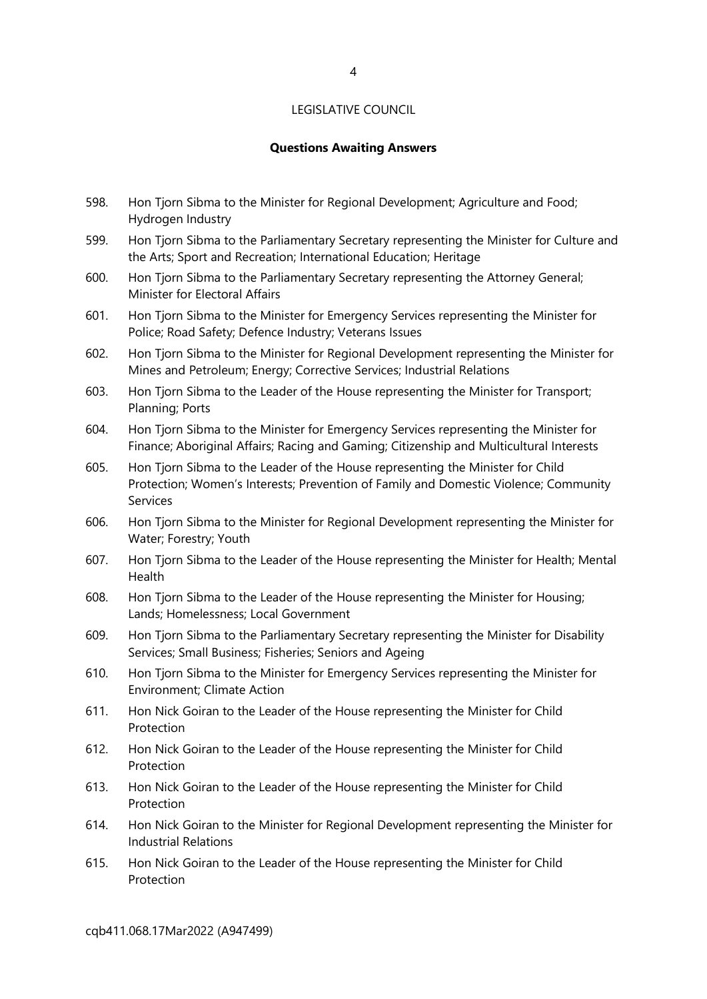#### Questions Awaiting Answers

- 598. Hon Tjorn Sibma to the Minister for Regional Development; Agriculture and Food; Hydrogen Industry
- 599. Hon Tjorn Sibma to the Parliamentary Secretary representing the Minister for Culture and the Arts; Sport and Recreation; International Education; Heritage
- 600. Hon Tjorn Sibma to the Parliamentary Secretary representing the Attorney General; Minister for Electoral Affairs
- 601. Hon Tjorn Sibma to the Minister for Emergency Services representing the Minister for Police; Road Safety; Defence Industry; Veterans Issues
- 602. Hon Tjorn Sibma to the Minister for Regional Development representing the Minister for Mines and Petroleum; Energy; Corrective Services; Industrial Relations
- 603. Hon Tjorn Sibma to the Leader of the House representing the Minister for Transport; Planning; Ports
- 604. Hon Tjorn Sibma to the Minister for Emergency Services representing the Minister for Finance; Aboriginal Affairs; Racing and Gaming; Citizenship and Multicultural Interests
- 605. Hon Tjorn Sibma to the Leader of the House representing the Minister for Child Protection; Women's Interests; Prevention of Family and Domestic Violence; Community Services
- 606. Hon Tjorn Sibma to the Minister for Regional Development representing the Minister for Water; Forestry; Youth
- 607. Hon Tjorn Sibma to the Leader of the House representing the Minister for Health; Mental Health
- 608. Hon Tjorn Sibma to the Leader of the House representing the Minister for Housing; Lands; Homelessness; Local Government
- 609. Hon Tjorn Sibma to the Parliamentary Secretary representing the Minister for Disability Services; Small Business; Fisheries; Seniors and Ageing
- 610. Hon Tjorn Sibma to the Minister for Emergency Services representing the Minister for Environment; Climate Action
- 611. Hon Nick Goiran to the Leader of the House representing the Minister for Child Protection
- 612. Hon Nick Goiran to the Leader of the House representing the Minister for Child Protection
- 613. Hon Nick Goiran to the Leader of the House representing the Minister for Child **Protection**
- 614. Hon Nick Goiran to the Minister for Regional Development representing the Minister for Industrial Relations
- 615. Hon Nick Goiran to the Leader of the House representing the Minister for Child Protection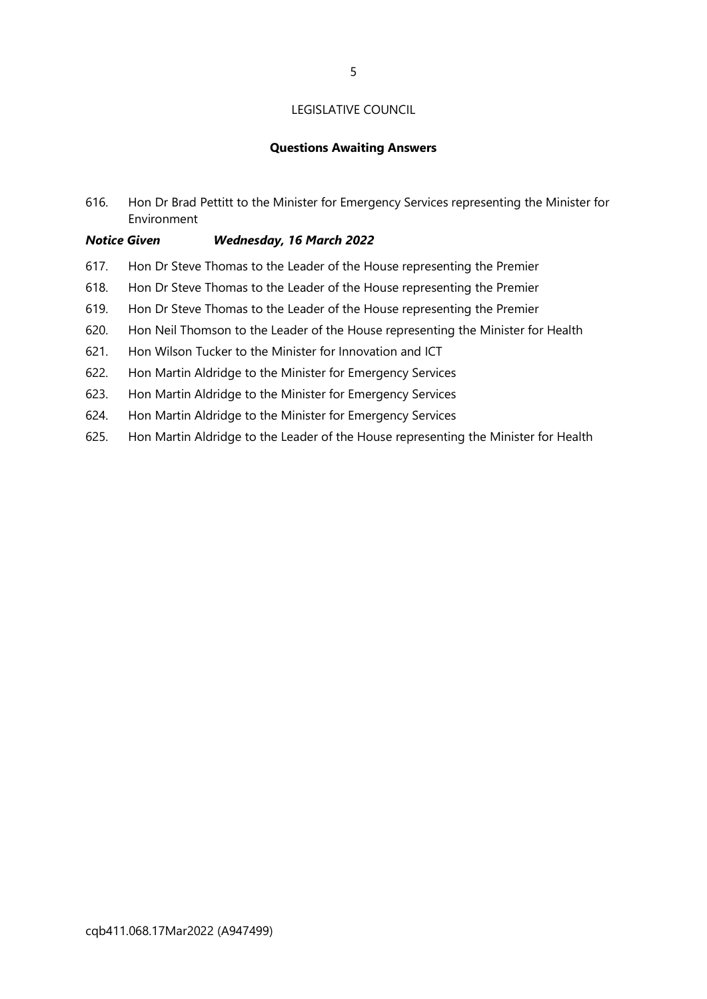#### Questions Awaiting Answers

616. Hon Dr Brad Pettitt to the Minister for Emergency Services representing the Minister for Environment

#### Notice Given Wednesday, 16 March 2022

- 617. Hon Dr Steve Thomas to the Leader of the House representing the Premier
- 618. Hon Dr Steve Thomas to the Leader of the House representing the Premier
- 619. Hon Dr Steve Thomas to the Leader of the House representing the Premier
- 620. Hon Neil Thomson to the Leader of the House representing the Minister for Health
- 621. Hon Wilson Tucker to the Minister for Innovation and ICT
- 622. Hon Martin Aldridge to the Minister for Emergency Services
- 623. Hon Martin Aldridge to the Minister for Emergency Services
- 624. Hon Martin Aldridge to the Minister for Emergency Services
- 625. Hon Martin Aldridge to the Leader of the House representing the Minister for Health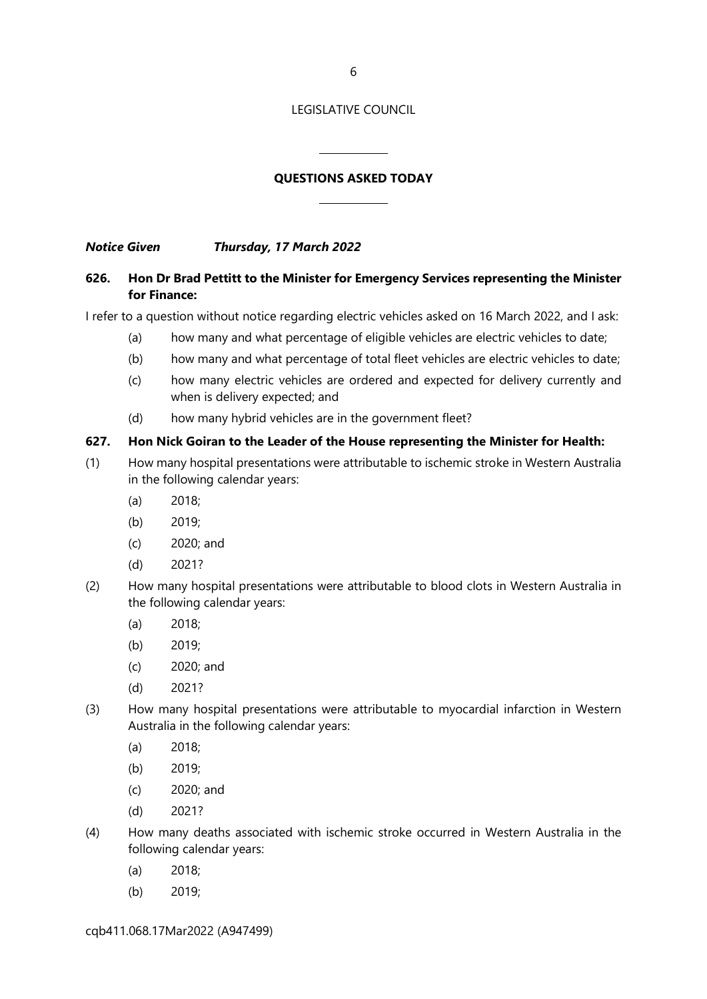### QUESTIONS ASKED TODAY

 $\overline{a}$ 

 $\overline{a}$ 

Notice Given Thursday, 17 March 2022

#### 626. Hon Dr Brad Pettitt to the Minister for Emergency Services representing the Minister for Finance:

I refer to a question without notice regarding electric vehicles asked on 16 March 2022, and I ask:

- (a) how many and what percentage of eligible vehicles are electric vehicles to date;
- (b) how many and what percentage of total fleet vehicles are electric vehicles to date;
- (c) how many electric vehicles are ordered and expected for delivery currently and when is delivery expected; and
- (d) how many hybrid vehicles are in the government fleet?

#### 627. Hon Nick Goiran to the Leader of the House representing the Minister for Health:

- (1) How many hospital presentations were attributable to ischemic stroke in Western Australia in the following calendar years:
	- (a) 2018;
	- (b) 2019;
	- (c) 2020; and
	- (d) 2021?
- (2) How many hospital presentations were attributable to blood clots in Western Australia in the following calendar years:
	- (a) 2018;
	- (b) 2019;
	- (c) 2020; and
	- (d) 2021?
- (3) How many hospital presentations were attributable to myocardial infarction in Western Australia in the following calendar years:
	- (a) 2018;
	- (b) 2019;
	- (c) 2020; and
	- (d) 2021?
- (4) How many deaths associated with ischemic stroke occurred in Western Australia in the following calendar years:
	- (a) 2018;
	- (b) 2019;